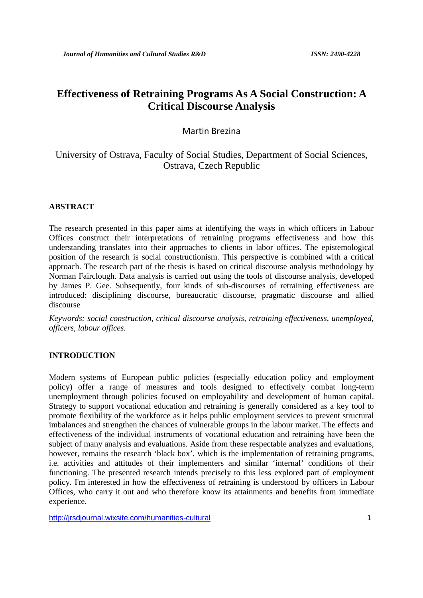# **Effectiveness of Retraining Programs As A Social Construction: A Critical Discourse Analysis**

## Martin Brezina

# University of Ostrava, Faculty of Social Studies, Department of Social Sciences, Ostrava, Czech Republic

# **ABSTRACT**

The research presented in this paper aims at identifying the ways in which officers in Labour Offices construct their interpretations of retraining programs effectiveness and how this understanding translates into their approaches to clients in labor offices. The epistemological position of the research is social constructionism. This perspective is combined with a critical approach. The research part of the thesis is based on critical discourse analysis methodology by Norman Fairclough. Data analysis is carried out using the tools of discourse analysis, developed by James P. Gee. Subsequently, four kinds of sub-discourses of retraining effectiveness are introduced: disciplining discourse, bureaucratic discourse, pragmatic discourse and allied discourse

*Keywords: social construction, critical discourse analysis, retraining effectiveness, unemployed, officers, labour offices.*

# **INTRODUCTION**

Modern systems of European public policies (especially education policy and employment policy) offer a range of measures and tools designed to effectively combat long-term unemployment through policies focused on employability and development of human capital. Strategy to support vocational education and retraining is generally considered as a key tool to promote flexibility of the workforce as it helps public employment services to prevent structural imbalances and strengthen the chances of vulnerable groups in the labour market. The effects and effectiveness of the individual instruments of vocational education and retraining have been the subject of many analysis and evaluations. Aside from these respectable analyzes and evaluations, however, remains the research 'black box', which is the implementation of retraining programs, i.e. activities and attitudes of their implementers and similar 'internal' conditions of their functioning. The presented research intends precisely to this less explored part of employment policy. I'm interested in how the effectiveness of retraining is understood by officers in Labour Offices, who carry it out and who therefore know its attainments and benefits from immediate experience.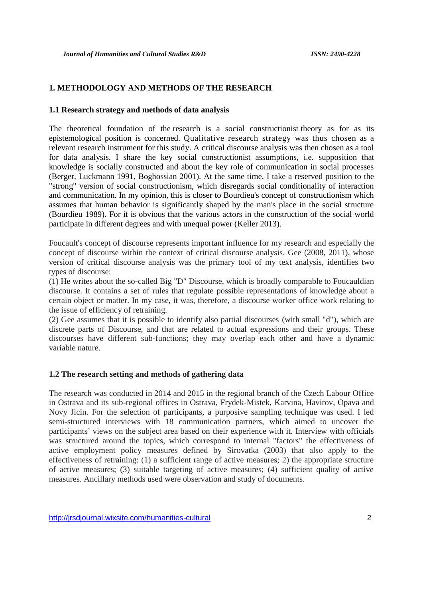### **1. METHODOLOGY AND METHODS OF THE RESEARCH**

#### **1.1 Research strategy and methods of data analysis**

The theoretical foundation of the research is a social constructionist theory as for as its epistemological position is concerned. Qualitative research strategy was thus chosen as a relevant research instrument for this study. A critical discourse analysis was then chosen as a tool for data analysis. I share the key social constructionist assumptions, i.e. supposition that knowledge is socially constructed and about the key role of communication in social processes (Berger, Luckmann 1991, Boghossian 2001). At the same time, I take a reserved position to the "strong" version of social constructionism, which disregards social conditionality of interaction and communication. In my opinion, this is closer to Bourdieu's concept of constructionism which assumes that human behavior is significantly shaped by the man's place in the social structure (Bourdieu 1989). For it is obvious that the various actors in the construction of the social world participate in different degrees and with unequal power (Keller 2013).

Foucault's concept of discourse represents important influence for my research and especially the concept of discourse within the context of critical discourse analysis. Gee (2008, 2011), whose version of critical discourse analysis was the primary tool of my text analysis, identifies two types of discourse:

(1) He writes about the so-called Big "D" Discourse, which is broadly comparable to Foucauldian discourse. It contains a set of rules that regulate possible representations of knowledge about a certain object or matter. In my case, it was, therefore, a discourse worker office work relating to the issue of efficiency of retraining.

(2) Gee assumes that it is possible to identify also partial discourses (with small "d"), which are discrete parts of Discourse, and that are related to actual expressions and their groups. These discourses have different sub-functions; they may overlap each other and have a dynamic variable nature.

#### **1.2 The research setting and methods of gathering data**

The research was conducted in 2014 and 2015 in the regional branch of the Czech Labour Office in Ostrava and its sub-regional offices in Ostrava, Frydek-Mistek, Karvina, Havirov, Opava and Novy Jicin. For the selection of participants, a purposive sampling technique was used. I led semi-structured interviews with 18 communication partners, which aimed to uncover the participants' views on the subject area based on their experience with it. Interview with officials was structured around the topics, which correspond to internal "factors" the effectiveness of active employment policy measures defined by Sirovatka (2003) that also apply to the effectiveness of retraining: (1) a sufficient range of active measures; 2) the appropriate structure of active measures; (3) suitable targeting of active measures; (4) sufficient quality of active measures. Ancillary methods used were observation and study of documents.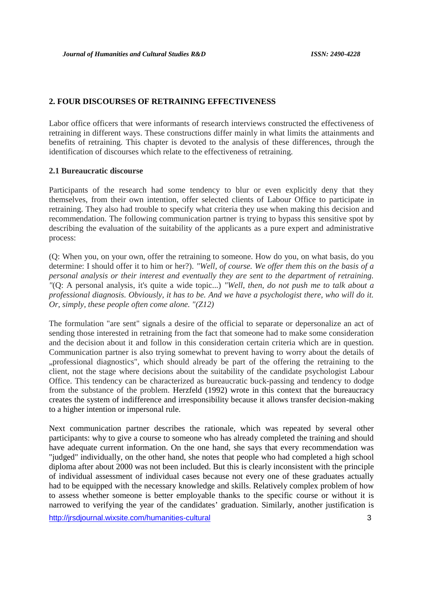### **2. FOUR DISCOURSES OF RETRAINING EFFECTIVENESS**

Labor office officers that were informants of research interviews constructed the effectiveness of retraining in different ways. These constructions differ mainly in what limits the attainments and benefits of retraining. This chapter is devoted to the analysis of these differences, through the identification of discourses which relate to the effectiveness of retraining.

#### **2.1 Bureaucratic discourse**

Participants of the research had some tendency to blur or even explicitly deny that they themselves, from their own intention, offer selected clients of Labour Office to participate in retraining. They also had trouble to specify what criteria they use when making this decision and recommendation. The following communication partner is trying to bypass this sensitive spot by describing the evaluation of the suitability of the applicants as a pure expert and administrative process:

(Q: When you, on your own, offer the retraining to someone. How do you, on what basis, do you determine: I should offer it to him or her?). *"Well, of course. We offer them this on the basis of a personal analysis or their interest and eventually they are sent to the department of retraining. "*(Q: A personal analysis, it's quite a wide topic...) *"Well, then, do not push me to talk about a professional diagnosis. Obviously, it has to be. And we have a psychologist there, who will do it. Or, simply, these people often come alone. "(Z12)*

The formulation "are sent" signals a desire of the official to separate or depersonalize an act of sending those interested in retraining from the fact that someone had to make some consideration and the decision about it and follow in this consideration certain criteria which are in question. Communication partner is also trying somewhat to prevent having to worry about the details of "professional diagnostics", which should already be part of the offering the retraining to the client, not the stage where decisions about the suitability of the candidate psychologist Labour Office. This tendency can be characterized as bureaucratic buck-passing and tendency to dodge from the substance of the problem. Herzfeld (1992) wrote in this context that the bureaucracy creates the system of indifference and irresponsibility because it allows transfer decision-making to a higher intention or impersonal rule.

Next communication partner describes the rationale, which was repeated by several other participants: why to give a course to someone who has already completed the training and should have adequate current information. On the one hand, she says that every recommendation was "judged" individually, on the other hand, she notes that people who had completed a high school diploma after about 2000 was not been included. But this is clearly inconsistent with the principle of individual assessment of individual cases because not every one of these graduates actually had to be equipped with the necessary knowledge and skills. Relatively complex problem of how to assess whether someone is better employable thanks to the specific course or without it is narrowed to verifying the year of the candidates' graduation. Similarly, another justification is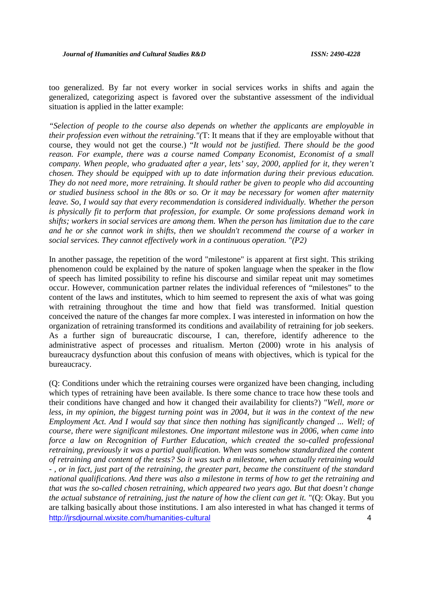too generalized. By far not every worker in social services works in shifts and again the generalized, categorizing aspect is favored over the substantive assessment of the individual situation is applied in the latter example:

*"Selection of people to the course also depends on whether the applicants are employable in their profession even without the retraining."(*T: It means that if they are employable without that course, they would not get the course.) "*It would not be justified. There should be the good reason. For example, there was a course named Company Economist, Economist of a small company. When people, who graduated after a year, lets' say, 2000, applied for it, they weren't chosen. They should be equipped with up to date information during their previous education. They do not need more, more retraining. It should rather be given to people who did accounting or studied business school in the 80s or so. Or it may be necessary for women after maternity leave. So, I would say that every recommendation is considered individually. Whether the person is physically fit to perform that profession, for example. Or some professions demand work in shifts; workers in social services are among them. When the person has limitation due to the care and he or she cannot work in shifts, then we shouldn't recommend the course of a worker in social services. They cannot effectively work in a continuous operation. "(P2)*

In another passage, the repetition of the word "milestone" is apparent at first sight. This striking phenomenon could be explained by the nature of spoken language when the speaker in the flow of speech has limited possibility to refine his discourse and similar repeat unit may sometimes occur. However, communication partner relates the individual references of "milestones" to the content of the laws and institutes, which to him seemed to represent the axis of what was going with retraining throughout the time and how that field was transformed. Initial question conceived the nature of the changes far more complex. I was interested in information on how the organization of retraining transformed its conditions and availability of retraining for job seekers. As a further sign of bureaucratic discourse, I can, therefore, identify adherence to the administrative aspect of processes and ritualism. Merton (2000) wrote in his analysis of bureaucracy dysfunction about this confusion of means with objectives, which is typical for the bureaucracy.

http://jrsdjournal.wixsite.com/humanities-cultural 4 (Q: Conditions under which the retraining courses were organized have been changing, including which types of retraining have been available. Is there some chance to trace how these tools and their conditions have changed and how it changed their availability for clients?) *"Well, more or less, in my opinion, the biggest turning point was in 2004, but it was in the context of the new Employment Act. And I would say that since then nothing has significantly changed ... Well; of course, there were significant milestones. One important milestone was in 2006, when came into force a law on Recognition of Further Education, which created the so-called professional retraining, previously it was a partial qualification. When was somehow standardized the content of retraining and content of the tests? So it was such a milestone, when actually retraining would - , or in fact, just part of the retraining, the greater part, became the constituent of the standard national qualifications. And there was also a milestone in terms of how to get the retraining and that was the so-called chosen retraining, which appeared two years ago. But that doesn't change the actual substance of retraining, just the nature of how the client can get it.* "(Q: Okay. But you are talking basically about those institutions. I am also interested in what has changed it terms of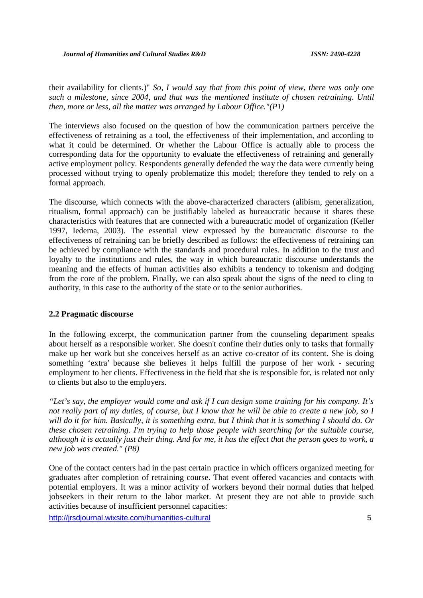their availability for clients.)" *So, I would say that from this point of view, there was only one such a milestone, since 2004, and that was the mentioned institute of chosen retraining. Until then, more or less, all the matter was arranged by Labour Office."(P1)*

The interviews also focused on the question of how the communication partners perceive the effectiveness of retraining as a tool, the effectiveness of their implementation, and according to what it could be determined. Or whether the Labour Office is actually able to process the corresponding data for the opportunity to evaluate the effectiveness of retraining and generally active employment policy. Respondents generally defended the way the data were currently being processed without trying to openly problematize this model; therefore they tended to rely on a formal approach.

The discourse, which connects with the above-characterized characters (alibism, generalization, ritualism, formal approach) can be justifiably labeled as bureaucratic because it shares these characteristics with features that are connected with a bureaucratic model of organization (Keller 1997, Iedema, 2003). The essential view expressed by the bureaucratic discourse to the effectiveness of retraining can be briefly described as follows: the effectiveness of retraining can be achieved by compliance with the standards and procedural rules. In addition to the trust and loyalty to the institutions and rules, the way in which bureaucratic discourse understands the meaning and the effects of human activities also exhibits a tendency to tokenism and dodging from the core of the problem. Finally, we can also speak about the signs of the need to cling to authority, in this case to the authority of the state or to the senior authorities.

#### **2.2 Pragmatic discourse**

In the following excerpt, the communication partner from the counseling department speaks about herself as a responsible worker. She doesn't confine their duties only to tasks that formally make up her work but she conceives herself as an active co-creator of its content. She is doing something 'extra' because she believes it helps fulfill the purpose of her work - securing employment to her clients. Effectiveness in the field that she is responsible for, is related not only to clients but also to the employers.

*"Let's say, the employer would come and ask if I can design some training for his company. It's not really part of my duties, of course, but I know that he will be able to create a new job, so I will do it for him. Basically, it is something extra, but I think that it is something I should do. Or these chosen retraining. I'm trying to help those people with searching for the suitable course, although it is actually just their thing. And for me, it has the effect that the person goes to work, a new job was created." (P8)*

One of the contact centers had in the past certain practice in which officers organized meeting for graduates after completion of retraining course. That event offered vacancies and contacts with potential employers. It was a minor activity of workers beyond their normal duties that helped jobseekers in their return to the labor market. At present they are not able to provide such activities because of insufficient personnel capacities: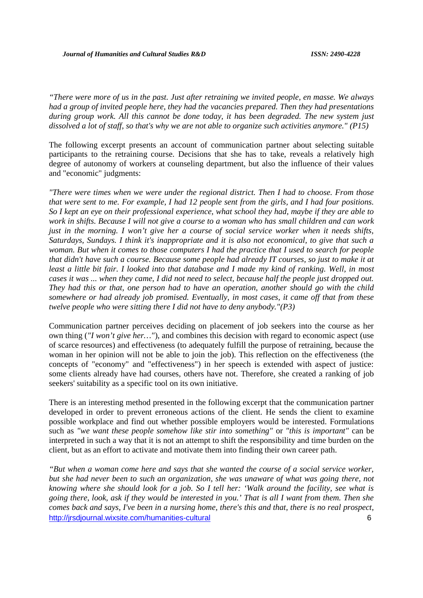*"There were more of us in the past. Just after retraining we invited people, en masse. We always had a group of invited people here, they had the vacancies prepared. Then they had presentations during group work. All this cannot be done today, it has been degraded. The new system just dissolved a lot of staff, so that's why we are not able to organize such activities anymore." (P15)*

The following excerpt presents an account of communication partner about selecting suitable participants to the retraining course. Decisions that she has to take, reveals a relatively high degree of autonomy of workers at counseling department, but also the influence of their values and "economic" judgments:

*"There were times when we were under the regional district. Then I had to choose. From those that were sent to me. For example, I had 12 people sent from the girls, and I had four positions. So I kept an eye on their professional experience, what school they had, maybe if they are able to work in shifts. Because I will not give a course to a woman who has small children and can work just in the morning. I won't give her a course of social service worker when it needs shifts, Saturdays, Sundays. I think it's inappropriate and it is also not economical, to give that such a woman. But when it comes to those computers I had the practice that I used to search for people that didn't have such a course. Because some people had already IT courses, so just to make it at least a little bit fair. I looked into that database and I made my kind of ranking. Well, in most cases it was ... when they came, I did not need to select, because half the people just dropped out. They had this or that, one person had to have an operation, another should go with the child somewhere or had already job promised. Eventually, in most cases, it came off that from these twelve people who were sitting there I did not have to deny anybody."(P3)*

Communication partner perceives deciding on placement of job seekers into the course as her own thing (*"I won't give her…"*), and combines this decision with regard to economic aspect (use of scarce resources) and effectiveness (to adequately fulfill the purpose of retraining, because the woman in her opinion will not be able to join the job). This reflection on the effectiveness (the concepts of "economy" and "effectiveness") in her speech is extended with aspect of justice: some clients already have had courses, others have not. Therefore, she created a ranking of job seekers' suitability as a specific tool on its own initiative.

There is an interesting method presented in the following excerpt that the communication partner developed in order to prevent erroneous actions of the client. He sends the client to examine possible workplace and find out whether possible employers would be interested. Formulations such as *"we want these people somehow like stir into something"* or *"this is important"* can be interpreted in such a way that it is not an attempt to shift the responsibility and time burden on the client, but as an effort to activate and motivate them into finding their own career path.

http://jrsdjournal.wixsite.com/humanities-cultural 6 *"But when a woman come here and says that she wanted the course of a social service worker, but she had never been to such an organization, she was unaware of what was going there, not knowing where she should look for a job. So I tell her: 'Walk around the facility, see what is going there, look, ask if they would be interested in you.' That is all I want from them. Then she comes back and says, I've been in a nursing home, there's this and that, there is no real prospect,*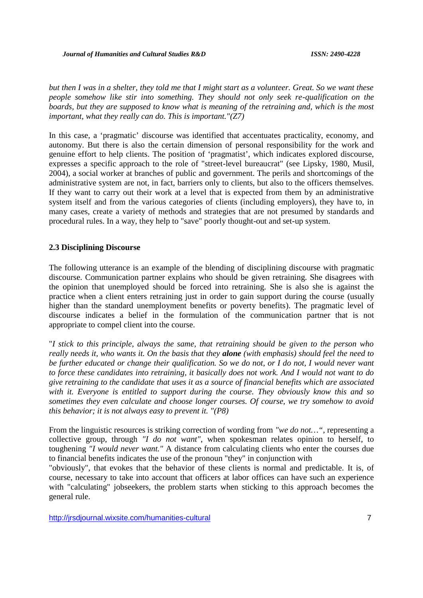*but then I was in a shelter, they told me that I might start as a volunteer. Great. So we want these people somehow like stir into something. They should not only seek re-qualification on the boards, but they are supposed to know what is meaning of the retraining and, which is the most important, what they really can do. This is important."(Z7)*

In this case, a 'pragmatic' discourse was identified that accentuates practicality, economy, and autonomy. But there is also the certain dimension of personal responsibility for the work and genuine effort to help clients. The position of 'pragmatist', which indicates explored discourse, expresses a specific approach to the role of "street-level bureaucrat" (see Lipsky, 1980, Musil, 2004), a social worker at branches of public and government. The perils and shortcomings of the administrative system are not, in fact, barriers only to clients, but also to the officers themselves. If they want to carry out their work at a level that is expected from them by an administrative system itself and from the various categories of clients (including employers), they have to, in many cases, create a variety of methods and strategies that are not presumed by standards and procedural rules. In a way, they help to "save" poorly thought-out and set-up system.

#### **2.3 Disciplining Discourse**

The following utterance is an example of the blending of disciplining discourse with pragmatic discourse. Communication partner explains who should be given retraining. She disagrees with the opinion that unemployed should be forced into retraining. She is also she is against the practice when a client enters retraining just in order to gain support during the course (usually higher than the standard unemployment benefits or poverty benefits). The pragmatic level of discourse indicates a belief in the formulation of the communication partner that is not appropriate to compel client into the course.

"*I stick to this principle, always the same, that retraining should be given to the person who really needs it, who wants it. On the basis that they alone (with emphasis) should feel the need to be further educated or change their qualification. So we do not, or I do not, I would never want to force these candidates into retraining, it basically does not work. And I would not want to do give retraining to the candidate that uses it as a source of financial benefits which are associated with it. Everyone is entitled to support during the course. They obviously know this and so sometimes they even calculate and choose longer courses. Of course, we try somehow to avoid this behavior; it is not always easy to prevent it. "(P8)*

From the linguistic resources is striking correction of wording from *"we do not…",* representing a collective group, through *"I do not want"*, when spokesman relates opinion to herself, to toughening *"I would never want."* A distance from calculating clients who enter the courses due to financial benefits indicates the use of the pronoun "they" in conjunction with

"obviously", that evokes that the behavior of these clients is normal and predictable. It is, of course, necessary to take into account that officers at labor offices can have such an experience with "calculating" jobseekers, the problem starts when sticking to this approach becomes the general rule.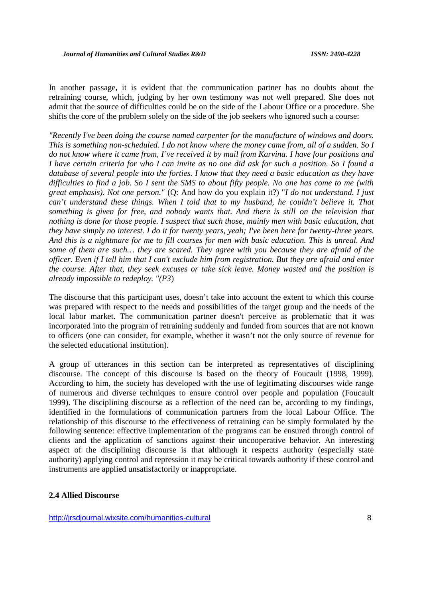In another passage, it is evident that the communication partner has no doubts about the retraining course, which, judging by her own testimony was not well prepared. She does not admit that the source of difficulties could be on the side of the Labour Office or a procedure. She shifts the core of the problem solely on the side of the job seekers who ignored such a course:

*"Recently I've been doing the course named carpenter for the manufacture of windows and doors. This is something non-scheduled. I do not know where the money came from, all of a sudden. So I do not know where it came from, I've received it by mail from Karvina. I have four positions and I have certain criteria for who I can invite as no one did ask for such a position. So I found a database of several people into the forties. I know that they need a basic education as they have difficulties to find a job. So I sent the SMS to about fifty people. No one has come to me (with great emphasis). Not one person."* (Q: And how do you explain it?) "*I do not understand. I just can't understand these things. When I told that to my husband, he couldn't believe it. That something is given for free, and nobody wants that. And there is still on the television that nothing is done for those people. I suspect that such those, mainly men with basic education, that they have simply no interest. I do it for twenty years, yeah; I've been here for twenty-three years. And this is a nightmare for me to fill courses for men with basic education. This is unreal. And some of them are such… they are scared. They agree with you because they are afraid of the officer. Even if I tell him that I can't exclude him from registration. But they are afraid and enter the course. After that, they seek excuses or take sick leave. Money wasted and the position is already impossible to redeploy. "(P3*)

The discourse that this participant uses, doesn't take into account the extent to which this course was prepared with respect to the needs and possibilities of the target group and the needs of the local labor market. The communication partner doesn't perceive as problematic that it was incorporated into the program of retraining suddenly and funded from sources that are not known to officers (one can consider, for example, whether it wasn't not the only source of revenue for the selected educational institution).

A group of utterances in this section can be interpreted as representatives of disciplining discourse. The concept of this discourse is based on the theory of Foucault (1998, 1999). According to him, the society has developed with the use of legitimating discourses wide range of numerous and diverse techniques to ensure control over people and population (Foucault 1999). The disciplining discourse as a reflection of the need can be, according to my findings, identified in the formulations of communication partners from the local Labour Office. The relationship of this discourse to the effectiveness of retraining can be simply formulated by the following sentence: effective implementation of the programs can be ensured through control of clients and the application of sanctions against their uncooperative behavior. An interesting aspect of the disciplining discourse is that although it respects authority (especially state authority) applying control and repression it may be critical towards authority if these control and instruments are applied unsatisfactorily or inappropriate.

#### **2.4 Allied Discourse**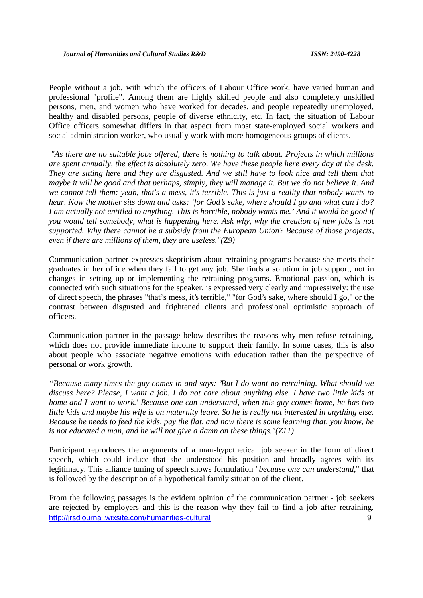People without a job, with which the officers of Labour Office work, have varied human and professional "profile". Among them are highly skilled people and also completely unskilled persons, men, and women who have worked for decades, and people repeatedly unemployed, healthy and disabled persons, people of diverse ethnicity, etc. In fact, the situation of Labour Office officers somewhat differs in that aspect from most state-employed social workers and social administration worker, who usually work with more homogeneous groups of clients.

*"As there are no suitable jobs offered, there is nothing to talk about. Projects in which millions are spent annually, the effect is absolutely zero. We have these people here every day at the desk. They are sitting here and they are disgusted. And we still have to look nice and tell them that maybe it will be good and that perhaps, simply, they will manage it. But we do not believe it. And we cannot tell them: yeah, that's a mess, it's terrible. This is just a reality that nobody wants to hear. Now the mother sits down and asks: 'for God's sake, where should I go and what can I do? I am actually not entitled to anything. This is horrible, nobody wants me.' And it would be good if you would tell somebody, what is happening here. Ask why, why the creation of new jobs is not supported. Why there cannot be a subsidy from the European Union? Because of those projects, even if there are millions of them, they are useless."(Z9)*

Communication partner expresses skepticism about retraining programs because she meets their graduates in her office when they fail to get any job. She finds a solution in job support, not in changes in setting up or implementing the retraining programs. Emotional passion, which is connected with such situations for the speaker, is expressed very clearly and impressively: the use of direct speech, the phrases "that's mess, it's terrible," "for God's sake, where should I go," or the contrast between disgusted and frightened clients and professional optimistic approach of officers.

Communication partner in the passage below describes the reasons why men refuse retraining, which does not provide immediate income to support their family. In some cases, this is also about people who associate negative emotions with education rather than the perspective of personal or work growth.

*"Because many times the guy comes in and says: 'But I do want no retraining. What should we discuss here? Please, I want a job. I do not care about anything else. I have two little kids at home and I want to work.' Because one can understand, when this guy comes home, he has two little kids and maybe his wife is on maternity leave. So he is really not interested in anything else. Because he needs to feed the kids, pay the flat, and now there is some learning that, you know, he is not educated a man, and he will not give a damn on these things."(Z11)*

Participant reproduces the arguments of a man-hypothetical job seeker in the form of direct speech, which could induce that she understood his position and broadly agrees with its legitimacy. This alliance tuning of speech shows formulation "*because one can understand*," that is followed by the description of a hypothetical family situation of the client.

http://jrsdjournal.wixsite.com/humanities-cultural 9 From the following passages is the evident opinion of the communication partner - job seekers are rejected by employers and this is the reason why they fail to find a job after retraining.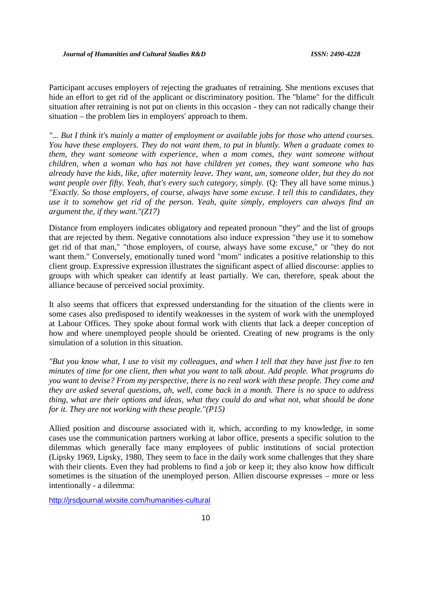Participant accuses employers of rejecting the graduates of retraining. She mentions excuses that hide an effort to get rid of the applicant or discriminatory position. The "blame" for the difficult situation after retraining is not put on clients in this occasion - they can not radically change their situation – the problem lies in employers' approach to them.

*"... But I think it's mainly a matter of employment or available jobs for those who attend courses. You have these employers. They do not want them, to put in bluntly. When a graduate comes to them, they want someone with experience, when a mom comes, they want someone without children, when a woman who has not have children yet comes, they want someone who has already have the kids, like, after maternity leave. They want, um, someone older, but they do not want people over fifty. Yeah, that's every such category, simply.* (Q: They all have some minus.) *"Exactly. So those employers, of course, always have some excuse. I tell this to candidates, they use it to somehow get rid of the person. Yeah, quite simply, employers can always find an argument the, if they want."(Z17)*

Distance from employers indicates obligatory and repeated pronoun "they" and the list of groups that are rejected by them. Negative connotations also induce expression "they use it to somehow get rid of that man," "those employers, of course, always have some excuse," or "they do not want them." Conversely, emotionally tuned word "mom" indicates a positive relationship to this client group. Expressive expression illustrates the significant aspect of allied discourse: applies to groups with which speaker can identify at least partially. We can, therefore, speak about the alliance because of perceived social proximity.

It also seems that officers that expressed understanding for the situation of the clients were in some cases also predisposed to identify weaknesses in the system of work with the unemployed at Labour Offices. They spoke about formal work with clients that lack a deeper conception of how and where unemployed people should be oriented. Creating of new programs is the only simulation of a solution in this situation.

*"But you know what, I use to visit my colleagues, and when I tell that they have just five to ten minutes of time for one client, then what you want to talk about. Add people. What programs do you want to devise? From my perspective, there is no real work with these people. They come and they are asked several questions, ah, well, come back in a month. There is no space to address thing, what are their options and ideas, what they could do and what not, what should be done for it. They are not working with these people."(P15)*

Allied position and discourse associated with it, which, according to my knowledge, in some cases use the communication partners working at labor office, presents a specific solution to the dilemmas which generally face many employees of public institutions of social protection (Lipsky 1969, Lipsky, 1980, They seem to face in the daily work some challenges that they share with their clients. Even they had problems to find a job or keep it; they also know how difficult sometimes is the situation of the unemployed person. Allien discourse expresses – more or less intentionally - a dilemma: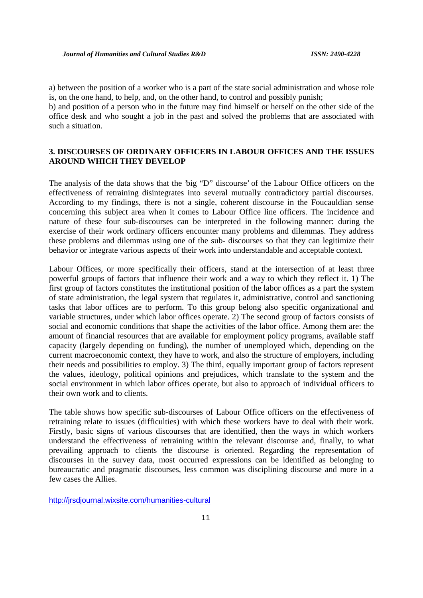a) between the position of a worker who is a part of the state social administration and whose role is, on the one hand, to help, and, on the other hand, to control and possibly punish;

b) and position of a person who in the future may find himself or herself on the other side of the office desk and who sought a job in the past and solved the problems that are associated with such a situation.

## **3. DISCOURSES OF ORDINARY OFFICERS IN LABOUR OFFICES AND THE ISSUES AROUND WHICH THEY DEVELOP**

The analysis of the data shows that the 'big "D" discourse' of the Labour Office officers on the effectiveness of retraining disintegrates into several mutually contradictory partial discourses. According to my findings, there is not a single, coherent discourse in the Foucauldian sense concerning this subject area when it comes to Labour Office line officers. The incidence and nature of these four sub-discourses can be interpreted in the following manner: during the exercise of their work ordinary officers encounter many problems and dilemmas. They address these problems and dilemmas using one of the sub- discourses so that they can legitimize their behavior or integrate various aspects of their work into understandable and acceptable context.

Labour Offices, or more specifically their officers, stand at the intersection of at least three powerful groups of factors that influence their work and a way to which they reflect it. 1) The first group of factors constitutes the institutional position of the labor offices as a part the system of state administration, the legal system that regulates it, administrative, control and sanctioning tasks that labor offices are to perform. To this group belong also specific organizational and variable structures, under which labor offices operate. 2) The second group of factors consists of social and economic conditions that shape the activities of the labor office. Among them are: the amount of financial resources that are available for employment policy programs, available staff capacity (largely depending on funding), the number of unemployed which, depending on the current macroeconomic context, they have to work, and also the structure of employers, including their needs and possibilities to employ. 3) The third, equally important group of factors represent the values, ideology, political opinions and prejudices, which translate to the system and the social environment in which labor offices operate, but also to approach of individual officers to their own work and to clients.

The table shows how specific sub-discourses of Labour Office officers on the effectiveness of retraining relate to issues (difficulties) with which these workers have to deal with their work. Firstly, basic signs of various discourses that are identified, then the ways in which workers understand the effectiveness of retraining within the relevant discourse and, finally, to what prevailing approach to clients the discourse is oriented. Regarding the representation of discourses in the survey data, most occurred expressions can be identified as belonging to bureaucratic and pragmatic discourses, less common was disciplining discourse and more in a few cases the Allies.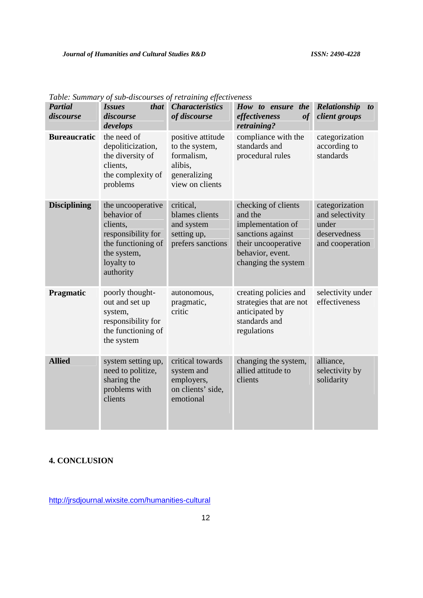| <b>Partial</b><br>discourse | <i>that</i><br><i>Issues</i><br>discourse<br>develops                                                                              | <b>Characteristics</b><br>of discourse                                                          | How to ensure the<br>effectiveness<br>of<br>retraining?                                                                                    | Relationship<br>$\boldsymbol{to}$<br>client groups                            |
|-----------------------------|------------------------------------------------------------------------------------------------------------------------------------|-------------------------------------------------------------------------------------------------|--------------------------------------------------------------------------------------------------------------------------------------------|-------------------------------------------------------------------------------|
| <b>Bureaucratic</b>         | the need of<br>depoliticization,<br>the diversity of<br>clients,<br>the complexity of<br>problems                                  | positive attitude<br>to the system,<br>formalism,<br>alibis,<br>generalizing<br>view on clients | compliance with the<br>standards and<br>procedural rules                                                                                   | categorization<br>according to<br>standards                                   |
| <b>Disciplining</b>         | the uncooperative<br>behavior of<br>clients,<br>responsibility for<br>the functioning of<br>the system,<br>loyalty to<br>authority | critical,<br>blames clients<br>and system<br>setting up,<br>prefers sanctions                   | checking of clients<br>and the<br>implementation of<br>sanctions against<br>their uncooperative<br>behavior, event.<br>changing the system | categorization<br>and selectivity<br>under<br>deservedness<br>and cooperation |
| Pragmatic                   | poorly thought-<br>out and set up<br>system,<br>responsibility for<br>the functioning of<br>the system                             | autonomous,<br>pragmatic,<br>critic                                                             | creating policies and<br>strategies that are not<br>anticipated by<br>standards and<br>regulations                                         | selectivity under<br>effectiveness                                            |
| <b>Allied</b>               | system setting up,<br>need to politize,<br>sharing the<br>problems with<br>clients                                                 | critical towards<br>system and<br>employers,<br>on clients' side,<br>emotional                  | changing the system,<br>allied attitude to<br>clients                                                                                      | alliance,<br>selectivity by<br>solidarity                                     |

*Table: Summary of sub-discourses of retraining effectiveness*

# **4. CONCLUSION**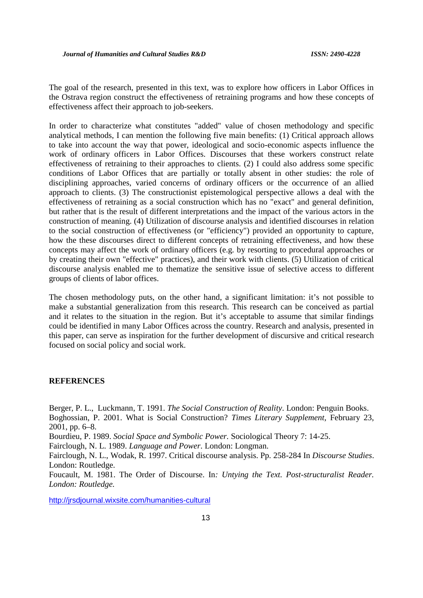The goal of the research, presented in this text, was to explore how officers in Labor Offices in the Ostrava region construct the effectiveness of retraining programs and how these concepts of effectiveness affect their approach to job-seekers.

In order to characterize what constitutes "added" value of chosen methodology and specific analytical methods, I can mention the following five main benefits: (1) Critical approach allows to take into account the way that power, ideological and socio-economic aspects influence the work of ordinary officers in Labor Offices. Discourses that these workers construct relate effectiveness of retraining to their approaches to clients. (2) I could also address some specific conditions of Labor Offices that are partially or totally absent in other studies: the role of disciplining approaches, varied concerns of ordinary officers or the occurrence of an allied approach to clients. (3) The constructionist epistemological perspective allows a deal with the effectiveness of retraining as a social construction which has no "exact" and general definition, but rather that is the result of different interpretations and the impact of the various actors in the construction of meaning. (4) Utilization of discourse analysis and identified discourses in relation to the social construction of effectiveness (or "efficiency") provided an opportunity to capture, how the these discourses direct to different concepts of retraining effectiveness, and how these concepts may affect the work of ordinary officers (e.g. by resorting to procedural approaches or by creating their own "effective" practices), and their work with clients. (5) Utilization of critical discourse analysis enabled me to thematize the sensitive issue of selective access to different groups of clients of labor offices.

The chosen methodology puts, on the other hand, a significant limitation: it's not possible to make a substantial generalization from this research. This research can be conceived as partial and it relates to the situation in the region. But it's acceptable to assume that similar findings could be identified in many Labor Offices across the country. Research and analysis, presented in this paper, can serve as inspiration for the further development of discursive and critical research focused on social policy and social work.

#### **REFERENCES**

Berger, P. L., Luckmann, T. 1991. *The Social Construction of Reality*. London: Penguin Books. Boghossian, P. 2001. What is Social Construction? *Times Literary Supplement*, February 23, 2001, pp. 6–8.

Bourdieu, P. 1989. *Social Space and Symbolic Power.* Sociological Theory 7: 14-25.

Fairclough, N. L. 1989. *Language and Power*. London: Longman.

Fairclough, N. L., Wodak, R. 1997. Critical discourse analysis. Pp. 258-284 In *Discourse Studies*. London: Routledge.

Foucault, M. 1981. The Order of Discourse. In*: Untying the Text. Post-structuralist Reader. London: Routledge.*